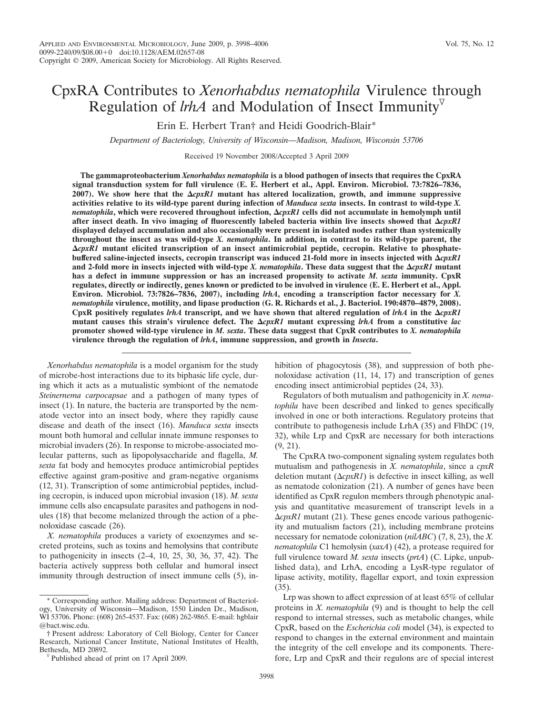# CpxRA Contributes to *Xenorhabdus nematophila* Virulence through Regulation of *lrhA* and Modulation of Insect Immunity

Erin E. Herbert Tran† and Heidi Goodrich-Blair\*

*Department of Bacteriology, University of Wisconsin—Madison, Madison, Wisconsin 53706*

Received 19 November 2008/Accepted 3 April 2009

**The gammaproteobacterium** *Xenorhabdus nematophila* **is a blood pathogen of insects that requires the CpxRA signal transduction system for full virulence (E. E. Herbert et al., Appl. Environ. Microbiol. 73:7826–7836, 2007). We show here that the** *cpxR1* **mutant has altered localization, growth, and immune suppressive activities relative to its wild-type parent during infection of** *Manduca sexta* **insects. In contrast to wild-type** *X. nematophila***, which were recovered throughout infection,** *cpxR1* **cells did not accumulate in hemolymph until** after insect death. In vivo imaging of fluorescently labeled bacteria within live insects showed that  $\Delta cpxRI$ **displayed delayed accumulation and also occasionally were present in isolated nodes rather than systemically throughout the insect as was wild-type** *X. nematophila***. In addition, in contrast to its wild-type parent, the** *cpxR1* **mutant elicited transcription of an insect antimicrobial peptide, cecropin. Relative to phosphatebuffered saline-injected insects, cecropin transcript was induced 21-fold more in insects injected with**  $\Delta cpxRI$ **and 2-fold more in insects injected with wild-type** *X. nematophila***. These data suggest that the**  $\Delta cpxRI$  **mutant has a defect in immune suppression or has an increased propensity to activate** *M. sexta* **immunity. CpxR regulates, directly or indirectly, genes known or predicted to be involved in virulence (E. E. Herbert et al., Appl. Environ. Microbiol. 73:7826–7836, 2007), including** *lrhA***, encoding a transcription factor necessary for** *X. nematophila* **virulence, motility, and lipase production (G. R. Richards et al., J. Bacteriol. 190:4870–4879, 2008).** CpxR positively regulates  $lrhA$  transcript, and we have shown that altered regulation of  $lrhA$  in the  $\Delta cpxRI$ **mutant causes this strain's virulence defect. The**  $\Delta cpxRI$  **mutant expressing** *lrhA* **from a constitutive** *lac* **promoter showed wild-type virulence in** *M. sexta***. These data suggest that CpxR contributes to** *X. nematophila* **virulence through the regulation of** *lrhA***, immune suppression, and growth in** *Insecta***.**

*Xenorhabdus nematophila* is a model organism for the study of microbe-host interactions due to its biphasic life cycle, during which it acts as a mutualistic symbiont of the nematode *Steinernema carpocapsae* and a pathogen of many types of insect (1). In nature, the bacteria are transported by the nematode vector into an insect body, where they rapidly cause disease and death of the insect (16). *Manduca sexta* insects mount both humoral and cellular innate immune responses to microbial invaders (26). In response to microbe-associated molecular patterns, such as lipopolysaccharide and flagella, *M. sexta* fat body and hemocytes produce antimicrobial peptides effective against gram-positive and gram-negative organisms (12, 31). Transcription of some antimicrobial peptides, including cecropin, is induced upon microbial invasion (18). *M. sexta* immune cells also encapsulate parasites and pathogens in nodules (18) that become melanized through the action of a phenoloxidase cascade (26).

*X. nematophila* produces a variety of exoenzymes and secreted proteins, such as toxins and hemolysins that contribute to pathogenicity in insects (2–4, 10, 25, 30, 36, 37, 42). The bacteria actively suppress both cellular and humoral insect immunity through destruction of insect immune cells (5), inhibition of phagocytosis (38), and suppression of both phenoloxidase activation (11, 14, 17) and transcription of genes encoding insect antimicrobial peptides (24, 33).

Regulators of both mutualism and pathogenicity in *X. nematophila* have been described and linked to genes specifically involved in one or both interactions. Regulatory proteins that contribute to pathogenesis include LrhA (35) and FlhDC (19, 32), while Lrp and CpxR are necessary for both interactions (9, 21).

The CpxRA two-component signaling system regulates both mutualism and pathogenesis in *X. nematophila*, since a *cpxR* deletion mutant  $(\Delta cpxRI)$  is defective in insect killing, as well as nematode colonization (21). A number of genes have been identified as CpxR regulon members through phenotypic analysis and quantitative measurement of transcript levels in a -*cpxR1* mutant (21). These genes encode various pathogenicity and mutualism factors (21), including membrane proteins necessary for nematode colonization (*nilABC*) (7, 8, 23), the *X. nematophila* C1 hemolysin (*xaxA*) (42), a protease required for full virulence toward *M. sexta* insects (*prtA*) (C. Lipke, unpublished data), and LrhA, encoding a LysR-type regulator of lipase activity, motility, flagellar export, and toxin expression (35).

Lrp was shown to affect expression of at least 65% of cellular proteins in *X. nematophila* (9) and is thought to help the cell respond to internal stresses, such as metabolic changes, while CpxR, based on the *Escherichia coli* model (34), is expected to respond to changes in the external environment and maintain the integrity of the cell envelope and its components. Therefore, Lrp and CpxR and their regulons are of special interest

<sup>\*</sup> Corresponding author. Mailing address: Department of Bacteriology, University of Wisconsin—Madison, 1550 Linden Dr., Madison, WI 53706. Phone: (608) 265-4537. Fax: (608) 262-9865. E-mail: hgblair @bact.wisc.edu.

<sup>†</sup> Present address: Laboratory of Cell Biology, Center for Cancer Research, National Cancer Institute, National Institutes of Health,

Published ahead of print on 17 April 2009.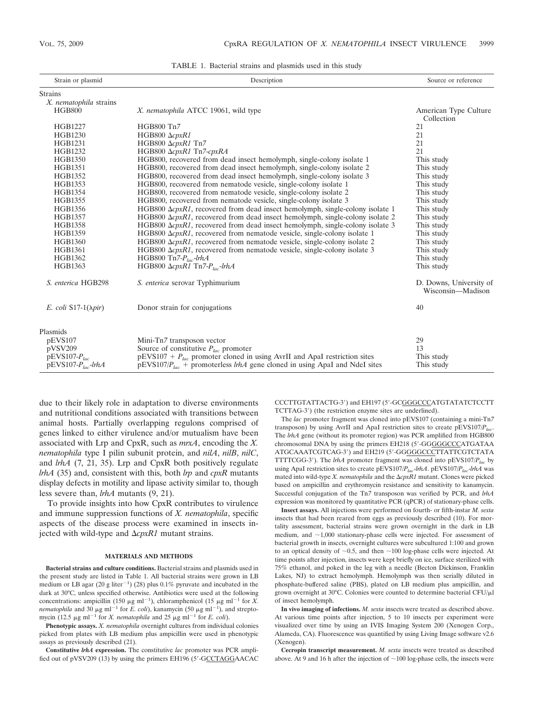| Strain or plasmid            | Description                                                                           | Source or reference                          |
|------------------------------|---------------------------------------------------------------------------------------|----------------------------------------------|
| <b>Strains</b>               |                                                                                       |                                              |
| X. nematophila strains       |                                                                                       |                                              |
| <b>HGB800</b>                | X. nematophila ATCC 19061, wild type                                                  | American Type Culture<br>Collection          |
| <b>HGB1227</b>               | HGB800 Tn7                                                                            | 21                                           |
| HGB1230                      | HGB800 $\Delta cpxR1$                                                                 | 21                                           |
| <b>HGB1231</b>               | HGB800 $\Delta cpxR1$ Tn7                                                             | 21                                           |
| <b>HGB1232</b>               | HGB800 ΔcpxR1 Tn7-cpxRA                                                               | 21                                           |
| <b>HGB1350</b>               | HGB800, recovered from dead insect hemolymph, single-colony isolate 1                 | This study                                   |
| <b>HGB1351</b>               | HGB800, recovered from dead insect hemolymph, single-colony isolate 2                 | This study                                   |
| HGB1352                      | HGB800, recovered from dead insect hemolymph, single-colony isolate 3                 | This study                                   |
| <b>HGB1353</b>               | HGB800, recovered from nematode vesicle, single-colony isolate 1                      | This study                                   |
| <b>HGB1354</b>               | HGB800, recovered from nematode vesicle, single-colony isolate 2                      | This study                                   |
| <b>HGB1355</b>               | HGB800, recovered from nematode vesicle, single-colony isolate 3                      | This study                                   |
| <b>HGB1356</b>               | HGB800 $\Delta cpxR1$ , recovered from dead insect hemolymph, single-colony isolate 1 | This study                                   |
| <b>HGB1357</b>               | HGB800 $\Delta cpxRI$ , recovered from dead insect hemolymph, single-colony isolate 2 | This study                                   |
| <b>HGB1358</b>               | HGB800 $\Delta cpxRI$ , recovered from dead insect hemolymph, single-colony isolate 3 | This study                                   |
| <b>HGB1359</b>               | HGB800 $\Delta cpxR1$ , recovered from nematode vesicle, single-colony isolate 1      | This study                                   |
| <b>HGB1360</b>               | HGB800 $\Delta cpxR1$ , recovered from nematode vesicle, single-colony isolate 2      | This study                                   |
| <b>HGB1361</b>               | HGB800 $\Delta cpxR1$ , recovered from nematode vesicle, single-colony isolate 3      | This study                                   |
| HGB1362                      | HGB800 Tn7- $P_{loc}$ -lrhA                                                           | This study                                   |
| HGB1363                      | HGB800 $\Delta cpxR1$ Tn7- $P_{lac}$ -lrhA                                            | This study                                   |
| S. enterica HGB298           | S. enterica serovar Typhimurium                                                       | D. Downs, University of<br>Wisconsin—Madison |
| E. coli $S17-1(\lambda pir)$ | Donor strain for conjugations                                                         | 40                                           |
| Plasmids                     |                                                                                       |                                              |
| pEVS107                      | Mini-Tn7 transposon vector                                                            | 29                                           |
| pVSV209                      | Source of constitutive $P_{lac}$ promoter                                             | 13                                           |
| $PEVS107-P_{lac}$            | $pEVS107 + P_{lac}$ promoter cloned in using AvrII and ApaI restriction sites         | This study                                   |
| $pEVS107-P_{loc}$ -lrhA      | $pEVS107/P_{lac}$ + promoterless <i>lrhA</i> gene cloned in using ApaI and NdeI sites | This study                                   |

TABLE 1. Bacterial strains and plasmids used in this study

due to their likely role in adaptation to diverse environments and nutritional conditions associated with transitions between animal hosts. Partially overlapping regulons comprised of genes linked to either virulence and/or mutualism have been associated with Lrp and CpxR, such as *mrxA*, encoding the *X. nematophila* type I pilin subunit protein, and *nilA*, *nilB*, *nilC*, and *lrhA* (7, 21, 35). Lrp and CpxR both positively regulate *lrhA* (35) and, consistent with this, both *lrp* and *cpxR* mutants display defects in motility and lipase activity similar to, though less severe than, *lrhA* mutants (9, 21).

To provide insights into how CpxR contributes to virulence and immune suppression functions of *X. nematophila*, specific aspects of the disease process were examined in insects injected with wild-type and  $\Delta cpxRI$  mutant strains.

# **MATERIALS AND METHODS**

**Bacterial strains and culture conditions.** Bacterial strains and plasmids used in the present study are listed in Table 1. All bacterial strains were grown in LB medium or LB agar (20 g liter<sup>-1</sup>) (28) plus  $0.1\%$  pyruvate and incubated in the dark at 30°C, unless specified otherwise. Antibiotics were used at the following concentrations: ampicillin (150  $\mu$ g ml<sup>-1</sup>), chloramphenicol (15  $\mu$ g ml<sup>-1</sup> for *X*. *nematophila* and 30  $\mu$ g ml<sup>-1</sup> for *E. coli*), kanamycin (50  $\mu$ g ml<sup>-1</sup>), and streptomycin (12.5  $\mu$ g ml<sup>-1</sup> for *X. nematophila* and 25  $\mu$ g ml<sup>-1</sup> for *E. coli*).

**Phenotypic assays.** *X. nematophila* overnight cultures from individual colonies picked from plates with LB medium plus ampicillin were used in phenotypic assays as previously described (21).

**Constitutive** *lrhA* **expression.** The constitutive *lac* promoter was PCR amplified out of pVSV209 (13) by using the primers EH196 (5-GCCTAGGAACAC CCCTTGTATTACTG-3) and EH197 (5-GCGGGCCCATGTATATCTCCTT TCTTAG-3) (the restriction enzyme sites are underlined).

The *lac* promoter fragment was cloned into pEVS107 (containing a mini-Tn*7* transposon) by using AvrII and ApaI restriction sites to create pEVS107/*Plac*. The *lrhA* gene (without its promoter region) was PCR amplified from HGB800 chromosomal DNA by using the primers EH218 (5'-GGGGGCCCATGATAA ATGCAAATCGTCAG-3) and EH219 (5-GGGGGCCCTTATTCGTCTATA TTTTCGG-3). The *lrhA* promoter fragment was cloned into pEVS107/*Plac* by using ApaI restriction sites to create pEVS107/*Plac*-*lrhA*. pEVS107/*Plac*-*lrhA* was mated into wild-type *X. nematophila* and the Δ*cpxR1* mutant. Clones were picked based on ampicillin and erythromycin resistance and sensitivity to kanamycin. Successful conjugation of the Tn*7* transposon was verified by PCR, and *lrhA* expression was monitored by quantitative PCR (qPCR) of stationary-phase cells.

**Insect assays.** All injections were performed on fourth- or fifth-instar *M. sexta* insects that had been reared from eggs as previously described (10). For mortality assessment, bacterial strains were grown overnight in the dark in LB medium, and  $\sim$  1,000 stationary-phase cells were injected. For assessment of bacterial growth in insects, overnight cultures were subcultured 1:100 and grown to an optical density of  $\sim 0.5$ , and then  $\sim 100$  log-phase cells were injected. At time points after injection, insects were kept briefly on ice, surface sterilized with 75% ethanol, and poked in the leg with a needle (Becton Dickinson, Franklin Lakes, NJ) to extract hemolymph. Hemolymph was then serially diluted in phosphate-buffered saline (PBS), plated on LB medium plus ampicillin, and grown overnight at 30°C. Colonies were counted to determine bacterial CFU/ $\mu$ l of insect hemolymph.

**In vivo imaging of infections.** *M. sexta* insects were treated as described above. At various time points after injection, 5 to 10 insects per experiment were visualized over time by using an IVIS Imaging System 200 (Xenogen Corp., Alameda, CA). Fluorescence was quantified by using Living Image software v2.6 (Xenogen).

**Cecropin transcript measurement.** *M. sexta* insects were treated as described above. At 9 and 16 h after the injection of  $\sim$  100 log-phase cells, the insects were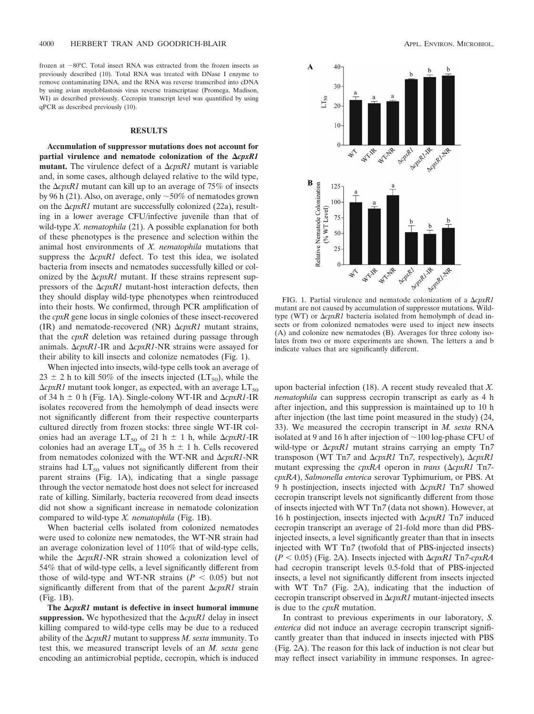frozen at  $-80^{\circ}$ C. Total insect RNA was extracted from the frozen insects as previously described (10). Total RNA was treated with DNase I enzyme to remove contaminating DNA, and the RNA was reverse transcribed into cDNA by using avian myeloblastosis virus reverse transcriptase (Promega, Madison, WI) as described previously. Cecropin transcript level was quantified by using qPCR as described previously (10).

## **RESULTS**

**Accumulation of suppressor mutations does not account for** partial virulence and nematode colonization of the  $\Delta c$ *pxR1* **mutant.** The virulence defect of a  $\Delta cpxRI$  mutant is variable and, in some cases, although delayed relative to the wild type, the  $\Delta c$ *pxR1* mutant can kill up to an average of 75% of insects by 96 h (21). Also, on average, only  $\sim$  50% of nematodes grown on the  $\Delta cpxRI$  mutant are successfully colonized (22a), resulting in a lower average CFU/infective juvenile than that of wild-type *X. nematophila* (21). A possible explanation for both of these phenotypes is the presence and selection within the animal host environments of *X. nematophila* mutations that suppress the  $\Delta cpxRI$  defect. To test this idea, we isolated bacteria from insects and nematodes successfully killed or colonized by the  $\Delta cpxR1$  mutant. If these strains represent suppressors of the  $\Delta cpxRI$  mutant-host interaction defects, then they should display wild-type phenotypes when reintroduced into their hosts. We confirmed, through PCR amplification of the *cpxR* gene locus in single colonies of these insect-recovered (IR) and nematode-recovered (NR)  $\Delta cpxRI$  mutant strains, that the *cpxR* deletion was retained during passage through animals.  $\Delta cpxRI$ -IR and  $\Delta cpxRI$ -NR strains were assayed for their ability to kill insects and colonize nematodes (Fig. 1).

When injected into insects, wild-type cells took an average of  $23 \pm 2$  h to kill 50% of the insects injected (LT<sub>50</sub>), while the  $\Delta cpxRI$  mutant took longer, as expected, with an average  $\text{LT}_{50}$ of 34 h  $\pm$  0 h (Fig. 1A). Single-colony WT-IR and  $\Delta cpxR1$ -IR isolates recovered from the hemolymph of dead insects were not significantly different from their respective counterparts cultured directly from frozen stocks: three single WT-IR colonies had an average  $LT_{50}$  of 21 h  $\pm$  1 h, while  $\Delta cpxRI$ -IR colonies had an average  $LT_{50}$  of 35 h  $\pm$  1 h. Cells recovered from nematodes colonized with the WT-NR and  $\Delta cpxRI$ -NR strains had  $LT_{50}$  values not significantly different from their parent strains (Fig. 1A), indicating that a single passage through the vector nematode host does not select for increased rate of killing. Similarly, bacteria recovered from dead insects did not show a significant increase in nematode colonization compared to wild-type *X. nematophila* (Fig. 1B).

When bacterial cells isolated from colonized nematodes were used to colonize new nematodes, the WT-NR strain had an average colonization level of 110% that of wild-type cells, while the  $\Delta cpxR1$ -NR strain showed a colonization level of 54% that of wild-type cells, a level significantly different from those of wild-type and WT-NR strains  $(P < 0.05)$  but not significantly different from that of the parent  $\Delta c$ *pxR1* strain (Fig. 1B).

The  $\Delta c$ *pxR1* mutant is defective in insect humoral immune suppression. We hypothesized that the  $\Delta cpxR1$  delay in insect killing compared to wild-type cells may be due to a reduced ability of the -*cpxR1* mutant to suppress *M. sexta* immunity. To test this, we measured transcript levels of an *M. sexta* gene encoding an antimicrobial peptide, cecropin, which is induced



FIG. 1. Partial virulence and nematode colonization of a  $\Delta c p x R1$ mutant are not caused by accumulation of suppressor mutations. Wildtype (WT) or  $\Delta cpxRI$  bacteria isolated from hemolymph of dead insects or from colonized nematodes were used to inject new insects (A) and colonize new nematodes (B). Averages for three colony isolates from two or more experiments are shown. The letters a and b indicate values that are significantly different.

upon bacterial infection (18). A recent study revealed that *X. nematophila* can suppress cecropin transcript as early as 4 h after injection, and this suppression is maintained up to 10 h after injection (the last time point measured in the study) (24, 33). We measured the cecropin transcript in *M. sexta* RNA isolated at 9 and 16 h after injection of  $\sim$ 100 log-phase CFU of wild-type or  $\Delta cpxRI$  mutant strains carrying an empty Tn7 transposon (WT Tn7 and Δ*cpxR1* Tn7, respectively), Δ*cpxR1* mutant expressing the *cpxRA* operon in *trans* ( $\Delta$ *cpxR1* Tn7*cpxRA*), *Salmonella enterica* serovar Typhimurium, or PBS. At 9 h postinjection, insects injected with  $\Delta c$ *pxR1* Tn7 showed cecropin transcript levels not significantly different from those of insects injected with WT Tn*7* (data not shown). However, at 16 h postinjection, insects injected with  $\Delta c$ *pxR1* Tn7 induced cecropin transcript an average of 21-fold more than did PBSinjected insects, a level significantly greater than that in insects injected with WT Tn*7* (twofold that of PBS-injected insects)  $(P < 0.05)$  (Fig. 2A). Insects injected with  $\Delta c p x R1$  Tn7-*cpxRA* had cecropin transcript levels 0.5-fold that of PBS-injected insects, a level not significantly different from insects injected with WT Tn*7* (Fig. 2A), indicating that the induction of cecropin transcript observed in  $\Delta cpxRI$  mutant-injected insects is due to the *cpxR* mutation.

In contrast to previous experiments in our laboratory, *S. enterica* did not induce an average cecropin transcript significantly greater than that induced in insects injected with PBS (Fig. 2A). The reason for this lack of induction is not clear but may reflect insect variability in immune responses. In agree-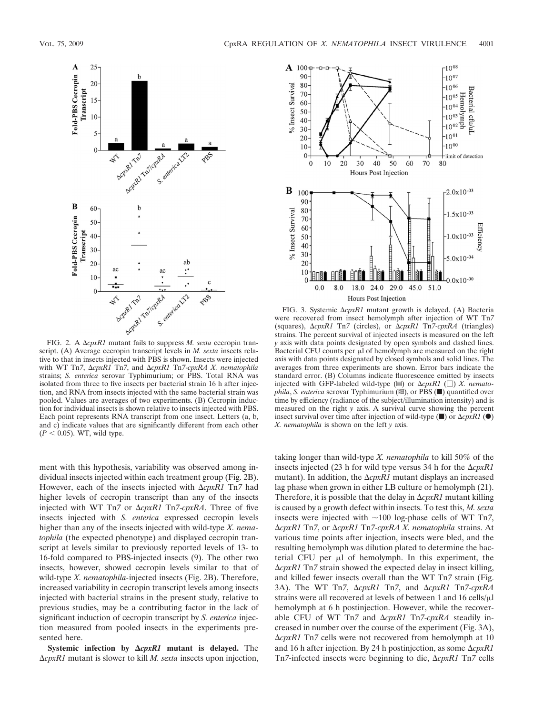

FIG. 2. A ΔcpxR1 mutant fails to suppress *M. sexta* cecropin transcript. (A) Average cecropin transcript levels in *M. sexta* insects relative to that in insects injected with PBS is shown. Insects were injected with WT Tn7, ΔcpxR1 Tn7, and ΔcpxR1 Tn7-cpxRA X. nematophila strains; *S. enterica* serovar Typhimurium; or PBS. Total RNA was isolated from three to five insects per bacterial strain 16 h after injection, and RNA from insects injected with the same bacterial strain was pooled. Values are averages of two experiments. (B) Cecropin induction for individual insects is shown relative to insects injected with PBS. Each point represents RNA transcript from one insect. Letters (a, b, and c) indicate values that are significantly different from each other  $(P < 0.05)$ . WT, wild type.

ment with this hypothesis, variability was observed among individual insects injected within each treatment group (Fig. 2B). However, each of the insects injected with  $\Delta c$ *pxR1* Tn7 had higher levels of cecropin transcript than any of the insects injected with WT Tn7 or Δ*cpxR1* Tn7-*cpxRA*. Three of five insects injected with *S. enterica* expressed cecropin levels higher than any of the insects injected with wild-type *X. nematophila* (the expected phenotype) and displayed cecropin transcript at levels similar to previously reported levels of 13- to 16-fold compared to PBS-injected insects (9). The other two insects, however, showed cecropin levels similar to that of wild-type *X. nematophila-*injected insects (Fig. 2B). Therefore, increased variability in cecropin transcript levels among insects injected with bacterial strains in the present study, relative to previous studies, may be a contributing factor in the lack of significant induction of cecropin transcript by *S. enterica* injection measured from pooled insects in the experiments presented here.

**Systemic infection by**  $\Delta c p x R1$  **mutant is delayed.** The -*cpxR1* mutant is slower to kill *M. sexta* insects upon injection,



FIG. 3. Systemic  $\Delta cpxR1$  mutant growth is delayed. (A) Bacteria were recovered from insect hemolymph after injection of WT Tn*7* (squares), -*cpxR1* Tn*7* (circles), or -*cpxR1* Tn*7*-*cpxRA* (triangles) strains. The percent survival of injected insects is measured on the left *y* axis with data points designated by open symbols and dashed lines. Bacterial CFU counts per  $\mu$ l of hemolymph are measured on the right axis with data points designated by closed symbols and solid lines. The averages from three experiments are shown. Error bars indicate the standard error. (B) Columns indicate fluorescence emitted by insects injected with GFP-labeled wild-type  $(\equiv)$  or  $\Delta cpxRI$   $(\square)$  *X. nematophila*, *S. enterica* serovar Typhimurium (...), or PBS (...) quantified over time by efficiency (radiance of the subject/illumination intensity) and is measured on the right *y* axis. A survival curve showing the percent insect survival over time after injection of wild-type  $(\blacksquare)$  or  $\Delta cpxRI$  ( $\spadesuit$ ) *X. nematophila* is shown on the left *y* axis.

taking longer than wild-type *X. nematophila* to kill 50% of the insects injected  $(23 \text{ h}$  for wild type versus 34 h for the  $\Delta cpxRI$ mutant). In addition, the  $\Delta cpxRI$  mutant displays an increased lag phase when grown in either LB culture or hemolymph (21). Therefore, it is possible that the delay in  $\Delta cpxR1$  mutant killing is caused by a growth defect within insects. To test this, *M. sexta* insects were injected with  $\sim$ 100 log-phase cells of WT Tn7, -*cpxR1* Tn*7*, or -*cpxR1* Tn*7*-*cpxRA X. nematophila* strains. At various time points after injection, insects were bled, and the resulting hemolymph was dilution plated to determine the bacterial CFU per  $\mu$ l of hemolymph. In this experiment, the -*cpxR1* Tn*7* strain showed the expected delay in insect killing, and killed fewer insects overall than the WT Tn*7* strain (Fig. 3A). The WT Tn7,  $\Delta cpxRI$  Tn7, and  $\Delta cpxRI$  Tn7-*cpxRA* strains were all recovered at levels of between 1 and 16 cells/ $\mu$ l hemolymph at 6 h postinjection. However, while the recoverable CFU of WT Tn7 and  $\Delta cpxR1$  Tn7- $cpxRA$  steadily increased in number over the course of the experiment (Fig. 3A), -*cpxR1* Tn*7* cells were not recovered from hemolymph at 10 and 16 h after injection. By 24 h postinjection, as some  $\Delta c$ *pxR1* Tn*7*-infected insects were beginning to die, Δ*cpxR1* Tn7 cells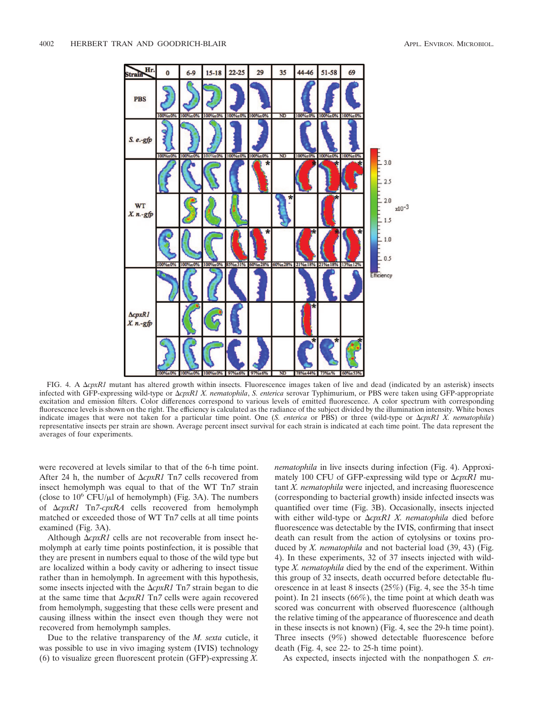

FIG. 4. A  $\Delta cpxR1$  mutant has altered growth within insects. Fluorescence images taken of live and dead (indicated by an asterisk) insects infected with GFP-expressing wild-type or -*cpxR1 X. nematophila*, *S. enterica* serovar Typhimurium, or PBS were taken using GFP-appropriate excitation and emission filters. Color differences correspond to various levels of emitted fluorescence. A color spectrum with corresponding fluorescence levels is shown on the right. The efficiency is calculated as the radiance of the subject divided by the illumination intensity. White boxes indicate images that were not taken for a particular time point. One (S. *enterica* or PBS) or three (wild-type or  $\Delta cpxR1$  X. *nematophila*) representative insects per strain are shown. Average percent insect survival for each strain is indicated at each time point. The data represent the averages of four experiments.

were recovered at levels similar to that of the 6-h time point. After 24 h, the number of  $\Delta cpxRI$  Tn7 cells recovered from insect hemolymph was equal to that of the WT Tn*7* strain (close to  $10^6$  CFU/ $\mu$ l of hemolymph) (Fig. 3A). The numbers of -*cpxR1* Tn*7*-*cpxRA* cells recovered from hemolymph matched or exceeded those of WT Tn*7* cells at all time points examined (Fig. 3A).

Although  $\Delta cpxRI$  cells are not recoverable from insect hemolymph at early time points postinfection, it is possible that they are present in numbers equal to those of the wild type but are localized within a body cavity or adhering to insect tissue rather than in hemolymph. In agreement with this hypothesis, some insects injected with the  $\Delta cpxRI$  Tn7 strain began to die at the same time that  $\Delta cpxRI$  Tn7 cells were again recovered from hemolymph, suggesting that these cells were present and causing illness within the insect even though they were not recovered from hemolymph samples.

Due to the relative transparency of the *M. sexta* cuticle, it was possible to use in vivo imaging system (IVIS) technology (6) to visualize green fluorescent protein (GFP)-expressing *X.*

*nematophila* in live insects during infection (Fig. 4). Approximately 100 CFU of GFP-expressing wild type or Δ*cpxR1* mutant *X. nematophila* were injected, and increasing fluorescence (corresponding to bacterial growth) inside infected insects was quantified over time (Fig. 3B). Occasionally, insects injected with either wild-type or  $\Delta cpxR1$  X. nematophila died before fluorescence was detectable by the IVIS, confirming that insect death can result from the action of cytolysins or toxins produced by *X. nematophila* and not bacterial load (39, 43) (Fig. 4). In these experiments, 32 of 37 insects injected with wildtype *X. nematophila* died by the end of the experiment. Within this group of 32 insects, death occurred before detectable fluorescence in at least 8 insects (25%) (Fig. 4, see the 35-h time point). In 21 insects (66%), the time point at which death was scored was concurrent with observed fluorescence (although the relative timing of the appearance of fluorescence and death in these insects is not known) (Fig. 4, see the 29-h time point). Three insects (9%) showed detectable fluorescence before death (Fig. 4, see 22- to 25-h time point).

As expected, insects injected with the nonpathogen *S. en-*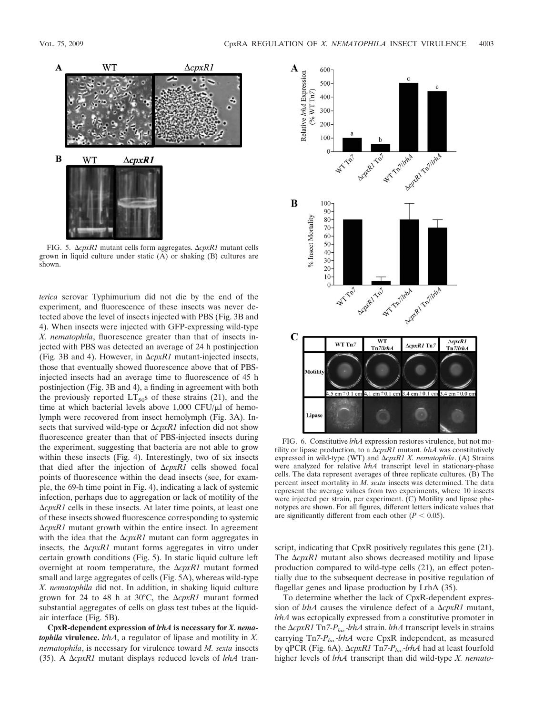

FIG. 5. Δ*cpxR1* mutant cells form aggregates. Δ*cpxR1* mutant cells grown in liquid culture under static (A) or shaking (B) cultures are shown.

*terica* serovar Typhimurium did not die by the end of the experiment, and fluorescence of these insects was never detected above the level of insects injected with PBS (Fig. 3B and 4). When insects were injected with GFP-expressing wild-type *X. nematophila*, fluorescence greater than that of insects injected with PBS was detected an average of 24 h postinjection (Fig. 3B and 4). However, in  $\Delta cpxRI$  mutant-injected insects, those that eventually showed fluorescence above that of PBSinjected insects had an average time to fluorescence of 45 h postinjection (Fig. 3B and 4), a finding in agreement with both the previously reported  $LT_{50}$ s of these strains (21), and the time at which bacterial levels above  $1,000$  CFU/ $\mu$ l of hemolymph were recovered from insect hemolymph (Fig. 3A). Insects that survived wild-type or  $\Delta c$ *pxR1* infection did not show fluorescence greater than that of PBS-injected insects during the experiment, suggesting that bacteria are not able to grow within these insects (Fig. 4). Interestingly, two of six insects that died after the injection of  $\Delta c$ *pxR1* cells showed focal points of fluorescence within the dead insects (see, for example, the 69-h time point in Fig. 4), indicating a lack of systemic infection, perhaps due to aggregation or lack of motility of the -*cpxR1* cells in these insects. At later time points, at least one of these insects showed fluorescence corresponding to systemic -*cpxR1* mutant growth within the entire insect. In agreement with the idea that the  $\Delta cpxR1$  mutant can form aggregates in insects, the  $\Delta cpxRI$  mutant forms aggregates in vitro under certain growth conditions (Fig. 5). In static liquid culture left overnight at room temperature, the  $\Delta cpxRI$  mutant formed small and large aggregates of cells (Fig. 5A), whereas wild-type *X. nematophila* did not. In addition, in shaking liquid culture grown for 24 to 48 h at 30 $^{\circ}$ C, the  $\Delta cpxR1$  mutant formed substantial aggregates of cells on glass test tubes at the liquidair interface (Fig. 5B).

**CpxR-dependent expression of** *lrhA* **is necessary for** *X. nematophila* **virulence.** *lrhA*, a regulator of lipase and motility in *X. nematophila*, is necessary for virulence toward *M. sexta* insects (35). A  $\Delta cpxRI$  mutant displays reduced levels of *lrhA* tran-



FIG. 6. Constitutive *lrhA* expression restores virulence, but not motility or lipase production, to a  $\Delta cpxRI$  mutant. *lrhA* was constitutively expressed in wild-type (WT) and  $\Delta cpxR1$  X. nematophila. (A) Strains were analyzed for relative *lrhA* transcript level in stationary-phase cells. The data represent averages of three replicate cultures. (B) The percent insect mortality in *M. sexta* insects was determined. The data represent the average values from two experiments, where 10 insects were injected per strain, per experiment. (C) Motility and lipase phenotypes are shown. For all figures, different letters indicate values that are significantly different from each other  $(P < 0.05)$ .

script, indicating that CpxR positively regulates this gene (21). The  $\Delta cpxR1$  mutant also shows decreased motility and lipase production compared to wild-type cells (21), an effect potentially due to the subsequent decrease in positive regulation of flagellar genes and lipase production by LrhA (35).

To determine whether the lack of CpxR-dependent expression of  $l$ *rhA* causes the virulence defect of a  $\Delta$ *cpxR1* mutant, *lrhA* was ectopically expressed from a constitutive promoter in the -*cpxR1* Tn*7-Plac*-*lrhA* strain. *lrhA* transcript levels in strains carrying Tn*7-Plac*-*lrhA* were CpxR independent, as measured by qPCR (Fig. 6A). Δ*cpxR1* Tn7-*P<sub>lac</sub>-lrhA* had at least fourfold higher levels of *lrhA* transcript than did wild-type *X. nemato-*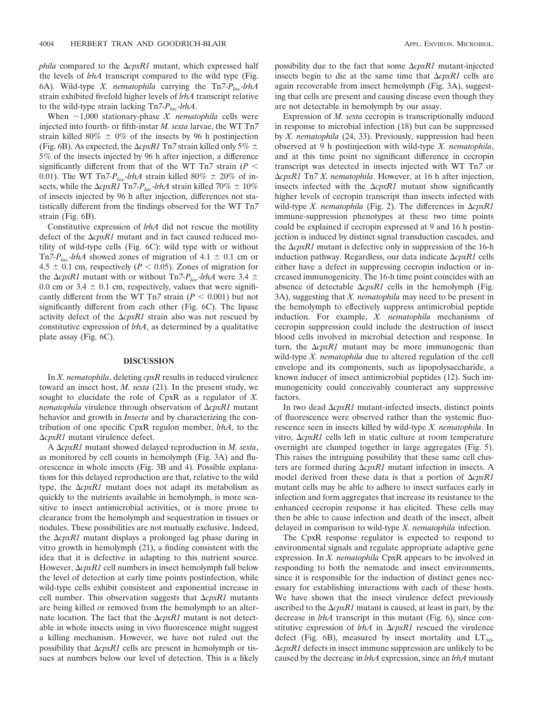*phila* compared to the  $\Delta cpxR1$  mutant, which expressed half the levels of *lrhA* transcript compared to the wild type (Fig. 6A). Wild-type *X. nematophila* carrying the Tn7-P<sub>lac</sub>-lrhA strain exhibited fivefold higher levels of *lrhA* transcript relative to the wild-type strain lacking Tn*7-Plac*-*lrhA*.

When  $\sim$ 1,000 stationary-phase *X. nematophila* cells were injected into fourth- or fifth-instar *M. sexta* larvae, the WT Tn*7* strain killed 80%  $\pm$  0% of the insects by 96 h postinjection (Fig. 6B). As expected, the  $\Delta cpxRI$  Tn7 strain killed only 5%  $\pm$ 5% of the insects injected by 96 h after injection, a difference significantly different from that of the WT Tn<sub>7</sub> strain ( $P$  < 0.01). The WT Tn7- $P_{lac}$ -*lrhA* strain killed 80%  $\pm$  20% of insects, while the  $\Delta cpxRI$  Tn7- $P_{lac}$ -*lrhA* strain killed 70%  $\pm$  10% of insects injected by 96 h after injection, differences not statistically different from the findings observed for the WT Tn*7* strain (Fig. 6B).

Constitutive expression of *lrhA* did not rescue the motility defect of the  $\Delta cpxR1$  mutant and in fact caused reduced motility of wild-type cells (Fig. 6C): wild type with or without Tn7- $P_{lac}$ -*lrhA* showed zones of migration of 4.1  $\pm$  0.1 cm or 4.5  $\pm$  0.1 cm, respectively ( $P < 0.05$ ). Zones of migration for the  $\Delta cpxRI$  mutant with or without Tn7- $P_{lac}$ -*lrhA* were 3.4  $\pm$ 0.0 cm or 3.4  $\pm$  0.1 cm, respectively, values that were significantly different from the WT Tn7 strain  $(P < 0.001)$  but not significantly different from each other (Fig. 6C). The lipase activity defect of the  $\Delta cpxRI$  strain also was not rescued by constitutive expression of *lrhA*, as determined by a qualitative plate assay (Fig. 6C).

# **DISCUSSION**

In *X. nematophila*, deleting *cpxR* results in reduced virulence toward an insect host, *M. sexta* (21). In the present study, we sought to elucidate the role of CpxR as a regulator of *X. nematophila* virulence through observation of Δ*cpxR1* mutant behavior and growth in *Insecta* and by characterizing the contribution of one specific CpxR regulon member, *lrhA*, to the -*cpxR1* mutant virulence defect.

A  $ΔcpxR1$  mutant showed delayed reproduction in *M. sexta*, as monitored by cell counts in hemolymph (Fig. 3A) and fluorescence in whole insects (Fig. 3B and 4). Possible explanations for this delayed reproduction are that, relative to the wild type, the  $\Delta cpxRI$  mutant does not adapt its metabolism as quickly to the nutrients available in hemolymph, is more sensitive to insect antimicrobial activities, or is more prone to clearance from the hemolymph and sequestration in tissues or nodules. These possibilities are not mutually exclusive. Indeed, the  $\Delta cpxRI$  mutant displays a prolonged lag phase during in vitro growth in hemolymph (21), a finding consistent with the idea that it is defective in adapting to this nutrient source. However,  $\Delta cpxRI$  cell numbers in insect hemolymph fall below the level of detection at early time points postinfection, while wild-type cells exhibit consistent and exponential increase in cell number. This observation suggests that  $\Delta c$ *pxR1* mutants are being killed or removed from the hemolymph to an alternate location. The fact that the  $\Delta cpxR1$  mutant is not detectable in whole insects using in vivo fluorescence might suggest a killing mechanism. However, we have not ruled out the possibility that  $\Delta cpxRI$  cells are present in hemolymph or tissues at numbers below our level of detection. This is a likely

possibility due to the fact that some  $\Delta cpxR1$  mutant-injected insects begin to die at the same time that  $\Delta c p x R l$  cells are again recoverable from insect hemolymph (Fig. 3A), suggesting that cells are present and causing disease even though they are not detectable in hemolymph by our assay.

Expression of *M. sexta* cecropin is transcriptionally induced in response to microbial infection (18) but can be suppressed by *X. nematophila* (24, 33). Previously, suppression had been observed at 9 h postinjection with wild-type *X. nematophila*, and at this time point no significant difference in cecropin transcript was detected in insects injected with WT Tn*7* or -*cpxR1* Tn*7 X. nematophila*. However, at 16 h after injection, insects infected with the  $\Delta cpxR1$  mutant show significantly higher levels of cecropin transcript than insects infected with wild-type *X. nematophila* (Fig. 2). The differences in Δ*cpxR1* immune-suppression phenotypes at these two time points could be explained if cecropin expressed at 9 and 16 h postinjection is induced by distinct signal transduction cascades, and the  $\Delta c$ *pxR1* mutant is defective only in suppression of the 16-h induction pathway. Regardless, our data indicate  $\Delta c p x R1$  cells either have a defect in suppressing cecropin induction or increased immunogenicity. The 16-h time point coincides with an absence of detectable  $\Delta c$ *pxR1* cells in the hemolymph (Fig. 3A), suggesting that *X. nematophila* may need to be present in the hemolymph to effectively suppress antimicrobial peptide induction. For example, *X. nematophila* mechanisms of cecropin suppression could include the destruction of insect blood cells involved in microbial detection and response. In turn, the  $\Delta cpxRI$  mutant may be more immunogenic than wild-type *X. nematophila* due to altered regulation of the cell envelope and its components, such as lipopolysaccharide, a known inducer of insect antimicrobial peptides (12). Such immunogenicity could conceivably counteract any suppressive factors.

In two dead  $\Delta c$ *pxR1* mutant-infected insects, distinct points of fluorescence were observed rather than the systemic fluorescence seen in insects killed by wild-type *X. nematophila*. In vitro, Δ*cpxR1* cells left in static culture at room temperature overnight are clumped together in large aggregates (Fig. 5). This raises the intriguing possibility that these same cell clusters are formed during  $\Delta c p x R1$  mutant infection in insects. A model derived from these data is that a portion of  $\Delta c p x R1$ mutant cells may be able to adhere to insect surfaces early in infection and form aggregates that increase its resistance to the enhanced cecropin response it has elicited. These cells may then be able to cause infection and death of the insect, albeit delayed in comparison to wild-type *X. nematophila* infection.

The CpxR response regulator is expected to respond to environmental signals and regulate appropriate adaptive gene expression. In *X. nematophila* CpxR appears to be involved in responding to both the nematode and insect environments, since it is responsible for the induction of distinct genes necessary for establishing interactions with each of these hosts. We have shown that the insect virulence defect previously ascribed to the  $\Delta cpxRI$  mutant is caused, at least in part, by the decrease in *lrhA* transcript in this mutant (Fig. 6), since constitutive expression of  $l$ rh $A$  in  $\Delta$ *cpxR1* rescued the virulence defect (Fig. 6B), measured by insect mortality and  $LT_{50}$ . -*cpxR1* defects in insect immune suppression are unlikely to be caused by the decrease in *lrhA* expression, since an *lrhA* mutant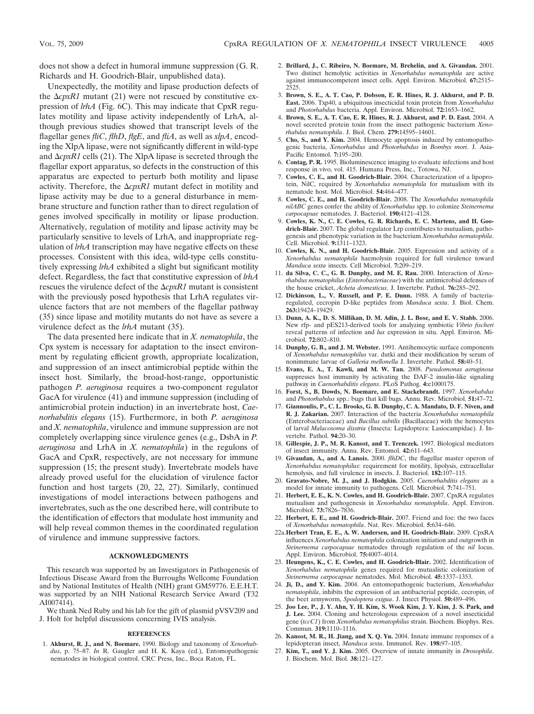does not show a defect in humoral immune suppression (G. R. Richards and H. Goodrich-Blair, unpublished data).

Unexpectedly, the motility and lipase production defects of the  $\Delta cpxRI$  mutant (21) were not rescued by constitutive expression of *lrhA* (Fig. 6C). This may indicate that CpxR regulates motility and lipase activity independently of LrhA, although previous studies showed that transcript levels of the flagellar genes *fliC*, *flhD*, *flgE*, and *fliA*, as well as *xlpA*, encoding the XlpA lipase, were not significantly different in wild-type and  $\Delta cpxRI$  cells (21). The XlpA lipase is secreted through the flagellar export apparatus, so defects in the construction of this apparatus are expected to perturb both motility and lipase activity. Therefore, the  $\Delta cpxR1$  mutant defect in motility and lipase activity may be due to a general disturbance in membrane structure and function rather than to direct regulation of genes involved specifically in motility or lipase production. Alternatively, regulation of motility and lipase activity may be particularly sensitive to levels of LrhA, and inappropriate regulation of *lrhA* transcription may have negative effects on these processes. Consistent with this idea, wild-type cells constitutively expressing *lrhA* exhibited a slight but significant motility defect. Regardless, the fact that constitutive expression of *lrhA* rescues the virulence defect of the  $\Delta cpxR1$  mutant is consistent with the previously posed hypothesis that LrhA regulates virulence factors that are not members of the flagellar pathway (35) since lipase and motility mutants do not have as severe a virulence defect as the *lrhA* mutant (35).

The data presented here indicate that in *X. nematophila*, the Cpx system is necessary for adaptation to the insect environment by regulating efficient growth, appropriate localization, and suppression of an insect antimicrobial peptide within the insect host. Similarly, the broad-host-range, opportunistic pathogen *P. aeruginosa* requires a two-component regulator GacA for virulence (41) and immune suppression (including of antimicrobial protein induction) in an invertebrate host, *Caenorhabditis elegans* (15). Furthermore, in both *P. aeruginosa* and *X. nematophila*, virulence and immune suppression are not completely overlapping since virulence genes (e.g., DsbA in *P. aeruginosa* and LrhA in *X. nematophila*) in the regulons of GacA and CpxR, respectively, are not necessary for immune suppression (15; the present study). Invertebrate models have already proved useful for the elucidation of virulence factor function and host targets (20, 22, 27). Similarly, continued investigations of model interactions between pathogens and invertebrates, such as the one described here, will contribute to the identification of effectors that modulate host immunity and will help reveal common themes in the coordinated regulation of virulence and immune suppressive factors.

## **ACKNOWLEDGMENTS**

This research was supported by an Investigators in Pathogenesis of Infectious Disease Award from the Burroughs Wellcome Foundation and by National Institutes of Health (NIH) grant GM59776. E.E.H.T. was supported by an NIH National Research Service Award (T32 AI007414).

We thank Ned Ruby and his lab for the gift of plasmid pVSV209 and J. Holt for helpful discussions concerning IVIS analysis.

#### **REFERENCES**

1. **Akhurst, R. J., and N. Boemare.** 1990. Biology and taxonomy of *Xenorhabdus*, p. 75–87. *In* R. Gaugler and H. K. Kaya (ed.), Entomopathogenic nematodes in biological control. CRC Press, Inc., Boca Raton, FL.

- 2. **Brillard, J., C. Ribeiro, N. Boemare, M. Brehelin, and A. Givaudan.** 2001. Two distinct hemolytic activities in *Xenorhabdus nematophila* are active against immunocompetent insect cells. Appl. Environ. Microbiol. **67:**2515– 2525.
- 3. **Brown, S. E., A. T. Cao, P. Dobson, E. R. Hines, R. J. Akhurst, and P. D. East.** 2006. Txp40, a ubiquitous insecticidal toxin protein from *Xenorhabdus* and *Photorhabdus* bacteria. Appl. Environ. Microbiol. **72:**1653–1662.
- 4. **Brown, S. E., A. T. Cao, E. R. Hines, R. J. Akhurst, and P. D. East.** 2004. A novel secreted protein toxin from the insect pathogenic bacterium *Xenorhabdus nematophila*. J. Biol. Chem. **279:**14595–14601.
- 5. **Cho, S., and Y. Kim.** 2004. Hemocyte apoptosis induced by entomopathogenic bacteria, *Xenorhabdus* and *Photorhabdus* in *Bombyx mori*. J. Asia-Pacific Entomol. **7:**195–200.
- 6. **Contag, P. R.** 1995. Bioluminescence imaging to evaluate infections and host response in vivo, vol. 415. Humana Press, Inc., Totowa, NJ.
- 7. **Cowles, C. E., and H. Goodrich-Blair.** 2004. Characterization of a lipoprotein, NilC, required by *Xenorhabdus nematophila* for mutualism with its nematode host. Mol. Microbiol. **54:**464–477.
- 8. **Cowles, C. E., and H. Goodrich-Blair.** 2008. The *Xenorhabdus nematophila nilABC* genes confer the ability of *Xenorhabdus* spp. to colonize *Steinernema carpocapsae* nematodes. J. Bacteriol. **190:**4121–4128.
- 9. **Cowles, K. N., C. E. Cowles, G. R. Richards, E. C. Martens, and H. Goodrich-Blair.** 2007. The global regulator Lrp contributes to mutualism, pathogenesis and phenotypic variation in the bacterium *Xenorhabdus nematophila*. Cell. Microbiol. **9:**1311–1323.
- 10. **Cowles, K. N., and H. Goodrich-Blair.** 2005. Expression and activity of a *Xenorhabdus nematophila* haemolysin required for full virulence toward *Manduca sexta* insects. Cell Microbiol. **7:**209–219.
- 11. **da Silva, C. C., G. B. Dunphy, and M. E. Rau.** 2000. Interaction of *Xenorhabdus nematophilus* (*Enterobacteriaceae*) with the antimicrobial defenses of the house cricket, *Acheta domesticus*. J. Invertebr. Pathol. **76:**285–292.
- 12. **Dickinson, L., V. Russell, and P. E. Dunn.** 1988. A family of bacteriaregulated, cecropin D-like peptides from *Manduca sexta*. J. Biol. Chem. **263:**19424–19429.
- 13. **Dunn, A. K., D. S. Millikan, D. M. Adin, J. L. Bose, and E. V. Stabb.** 2006. New rfp- and pES213-derived tools for analyzing symbiotic *Vibrio fischeri* reveal patterns of infection and *lux* expression in situ. Appl. Environ. Microbiol. **72:**802–810.
- 14. **Dunphy, G. B., and J. M. Webster.** 1991. Antihemocytic surface components of *Xenorhabdus nematophilus* var. dutki and their modification by serum of nonimmune larvae of *Galleria mellonella* J. Invertebr. Pathol. **58:**40–51.
- 15. **Evans, E. A., T. Kawli, and M. W. Tan.** 2008. *Pseudomonas aeruginosa* suppresses host immunity by activating the DAF-2 insulin-like signaling pathway in *Caenorhabditis elegans*. PLoS Pathog. **4:**e1000175.
- 16. **Forst, S., B. Dowds, N. Boemare, and E. Stackebrandt.** 1997. *Xenorhabdus* and *Photorhabdus* spp.: bugs that kill bugs. Annu. Rev. Microbiol. **51:**47–72.
- 17. **Giannoulis, P., C. L. Brooks, G. B. Dunphy, C. A. Mandato, D. F. Niven, and R. J. Zakarian.** 2007. Interaction of the bacteria *Xenorhabdus nematophila* (Enterobacteriaceae) and *Bacillus subtilis* (Bacillaceae) with the hemocytes of larval *Malacosoma disstria* (Insecta: Lepidoptera: Lasiocampidae). J. Invertebr. Pathol. **94:**20–30.
- 18. **Gillespie, J. P., M. R. Kanost, and T. Trenczek.** 1997. Biological mediators of insect immunity. Annu. Rev. Entomol. **42:**611–643.
- 19. **Givaudan, A., and A. Lanois.** 2000. *flhDC*, the flagellar master operon of *Xenorhabdus nematophilus*: requirement for motility, lipolysis, extracellular hemolysis, and full virulence in insects. J. Bacteriol. **182:**107–115.
- 20. **Gravato-Nobre, M. J., and J. Hodgkin.** 2005. *Caenorhabditis elegans* as a model for innate immunity to pathogens. Cell. Microbiol. **7:**741–751.
- 21. **Herbert, E. E., K. N. Cowles, and H. Goodrich-Blair.** 2007. CpxRA regulates mutualism and pathogenesis in *Xenorhabdus nematophila*. Appl. Environ. Microbiol. **73:**7826–7836.
- 22. **Herbert, E. E., and H. Goodrich-Blair.** 2007. Friend and foe: the two faces of *Xenorhabdus nematophila*. Nat. Rev. Microbiol. **5:**634–646.
- 22a.**Herbert Tran, E. E., A. W. Andersen, and H. Goodrich-Blair.** 2009. CpxRA influences *Xenorhabdus nematophila* colonization initiation and outgrowth in *Steinernema carpocapsae* nematodes through regulation of the *nil* locus. Appl. Environ. Microbiol. **75:**4007–4014.
- 23. **Heungens, K., C. E. Cowles, and H. Goodrich-Blair.** 2002. Identification of *Xenorhabdus nematophila* genes required for mutualistic colonization of *Steinernema carpocapsae* nematodes. Mol. Microbiol. **45:**1337–1353.
- 24. **Ji, D., and Y. Kim.** 2004. An entomopathogenic bacterium, *Xenorhabdus nematophila*, inhibits the expression of an antibacterial peptide, cecropin, of the beet armyworm, *Spodoptera exigua*. J. Insect Physiol. **50:**489–496.
- 25. **Joo Lee, P., J. Y. Ahn, Y. H. Kim, S. Wook Kim, J. Y. Kim, J. S. Park, and J. Lee.** 2004. Cloning and heterologous expression of a novel insecticidal gene (*tccC1*) from *Xenorhabdus nematophilus* strain. Biochem. Biophys. Res. Commun. **319:**1110–1116.
- 26. **Kanost, M. R., H. Jiang, and X. Q. Yu.** 2004. Innate immune responses of a lepidopteran insect, *Manduca sexta*. Immunol. Rev. **198:**97–105.
- 27. **Kim, T., and Y. J. Kim.** 2005. Overview of innate immunity in *Drosophila*. J. Biochem. Mol. Biol. **38:**121–127.